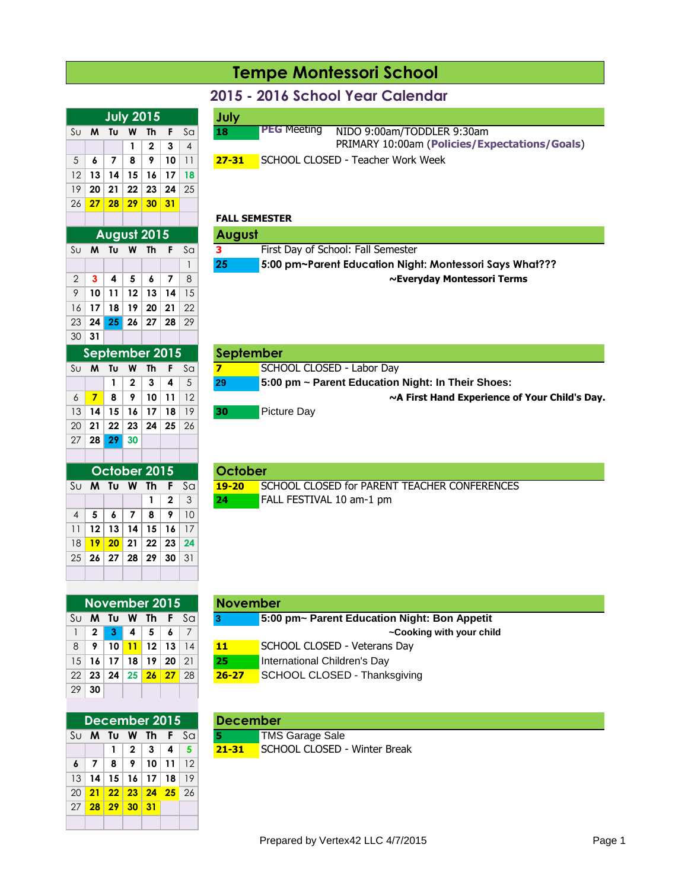## **Tempe Montessori School**

### **2015 - 2016 School Year Calendar**

|  |  | <b>July 2015</b>         |                 |                                         | July      |                                                  |
|--|--|--------------------------|-----------------|-----------------------------------------|-----------|--------------------------------------------------|
|  |  |                          |                 | $\mathsf{S}\cup$ <b>M Tu W Th F</b> Sal | 18        | <b>PEG Meeting</b><br>NIDO 9:00am/TODDLER 9:30am |
|  |  | $1 \mid 2 \mid 3 \mid 4$ |                 |                                         |           | PRIMARY 10:00am (Policies/Expectations/Goals)    |
|  |  |                          | 10 <sup>1</sup> |                                         | $27 - 31$ | SCHOOL CLOSED - Teacher Work Week                |

#### **FALL SEMESTER**

**November 2015 November**

|  | August 2015 |   |  |                                                                                                                                                                                                                                          | August |                                                         |
|--|-------------|---|--|------------------------------------------------------------------------------------------------------------------------------------------------------------------------------------------------------------------------------------------|--------|---------------------------------------------------------|
|  |             |   |  | $\mathsf{S}\cup\mathsf{M}$ Tu W The Fermion Scott Scott Scott Scott Scott Scott Scott Scott Scott Scott Scott Scott Scott Scott Scott Scott Scott Scott Scott Scott Scott Scott Scott Scott Scott Scott Scott Scott Scott Scott Scott Sc | 3.     | First Day of School: Fall Semester                      |
|  |             |   |  |                                                                                                                                                                                                                                          | 25     | 5:00 pm~Parent Education Night: Montessori Says What??? |
|  |             | 5 |  |                                                                                                                                                                                                                                          |        | ~Everyday Montessori Terms                              |

|                 | ember 2015   |                |      |    | <b>September</b>                                                    |
|-----------------|--------------|----------------|------|----|---------------------------------------------------------------------|
| iu W            | - Th         |                | F Sa |    | SCHOOL CLOSED - Labor Day                                           |
| $1 \mid 2 \mid$ | $\mathbf{3}$ | $\overline{4}$ |      | 29 | $\overline{5:00}$ pm $\sim$ Parent Education Night: In Their Shoes: |
| $8 \mid 9$      |              | $10$   11      |      |    | ~A First Hand Experience of Your Child's Day.                       |
| 5   16          | ⊢17 !        | 18             | 19   | 30 | <b>Picture Day</b>                                                  |
| .               |              |                |      |    |                                                                     |

| 2015              |                 | October |                                                           |
|-------------------|-----------------|---------|-----------------------------------------------------------|
|                   | The Fescall $S$ |         | <b>19-20</b> SCHOOL CLOSED for PARENT TEACHER CONFERENCES |
| $1 \mid 2 \mid 3$ |                 | 24      | FALL FESTIVAL 10 am-1 pm                                  |
|                   |                 |         |                                                           |

|    |    | November 2015                           |  |                |
|----|----|-----------------------------------------|--|----------------|
| Su |    | <b>M</b> Tu W Th F Sa                   |  |                |
|    |    | $2 \mid 3 \mid 4 \mid 5 \mid 6$         |  | $\overline{7}$ |
| 8  |    | 9   10 <mark>  11</mark>   12   13   14 |  |                |
|    |    | 15 16 17 18 19 20 21                    |  |                |
|    |    | 22 <b>23 24 25 26 27</b> 28             |  |                |
| 29 | 30 |                                         |  |                |

 **13 14 15 16 17 18 20 21 22 23 24** 25 **27 28 29 30 31**

 **10 11 12 13 14** 15 **17 18 19 20 21** 22 **24 25 26 27 28** 29

 $SU$  **M Tu W Th F** Sq

**September 2015 September**

 **7 8 9 10 11** 12 **~A First Hand Experience of Your Child's Day. 14 15 16 17 18 19 21 22 23 24 25** 26

 $SU$  **M** Tu W Th F Sa

**October 2015 October**

 **5 6 7 8 9** 10 **12 13 14 15 16** 17 **19 20 21 22 23 24 26 27 28 29 30** 31

**28 29 30**

**31**

|                 |                |                |                | December 2015            |            |            | <b>December</b> |            |
|-----------------|----------------|----------------|----------------|--------------------------|------------|------------|-----------------|------------|
| Su              | M              |                |                | Tu W Th F                |            | Sa         | 5               | TMS        |
|                 |                | $\overline{1}$ | 2 <sup>1</sup> |                          | $3 \mid 4$ | -5         | $21 - 31$       | <b>SCH</b> |
| 6               | $\overline{7}$ | 8              | $\sqrt{9}$     | 10 <sup>1</sup>          | -11        | $\vert$ 12 |                 |            |
| 13              |                |                |                | $14$   15   16   17   18 |            | 19         |                 |            |
| 20              | 21<br>ı        |                |                | 22 23 24 25 26           |            |            |                 |            |
| 27 <sub>1</sub> |                | 28 29 30 31    |                |                          |            |            |                 |            |
|                 |                |                |                |                          |            |            |                 |            |

|                |                                  |                |                         |             |       | Su <b>M Tu W Th F</b> Sal |           | 5:00 pm~ Parent Education Night: Bon Appetit |
|----------------|----------------------------------|----------------|-------------------------|-------------|-------|---------------------------|-----------|----------------------------------------------|
|                | $\overline{2}$                   | 3 <sup>1</sup> | $\overline{\mathbf{4}}$ | $-5$ $-$    | - 6 I |                           |           | ~Cooking with your child                     |
| 8 <sup>1</sup> | - 9                              |                |                         | 10 11 12 13 |       | 14                        | 11        | SCHOOL CLOSED - Veterans Day                 |
|                | $15$ 16 17                       |                |                         | 18 19 20 21 |       |                           | 25        | International Children's Day                 |
|                | 22   23   24   25   26   27   28 |                |                         |             |       |                           | $26 - 27$ | SCHOOL CLOSED - Thanksgiving                 |
|                | $\sim$ $\sim$                    |                |                         |             |       |                           |           |                                              |

|  |  | December 2015 |                                      | <b>December</b> |                                           |
|--|--|---------------|--------------------------------------|-----------------|-------------------------------------------|
|  |  |               | Su $M$ Tu $W$ Th F Sal               |                 | <b>TMS Garage Sale</b>                    |
|  |  |               | $1 \mid 2 \mid 3 \mid 4 \mid 5 \mid$ |                 | <b>21-31</b> SCHOOL CLOSED - Winter Break |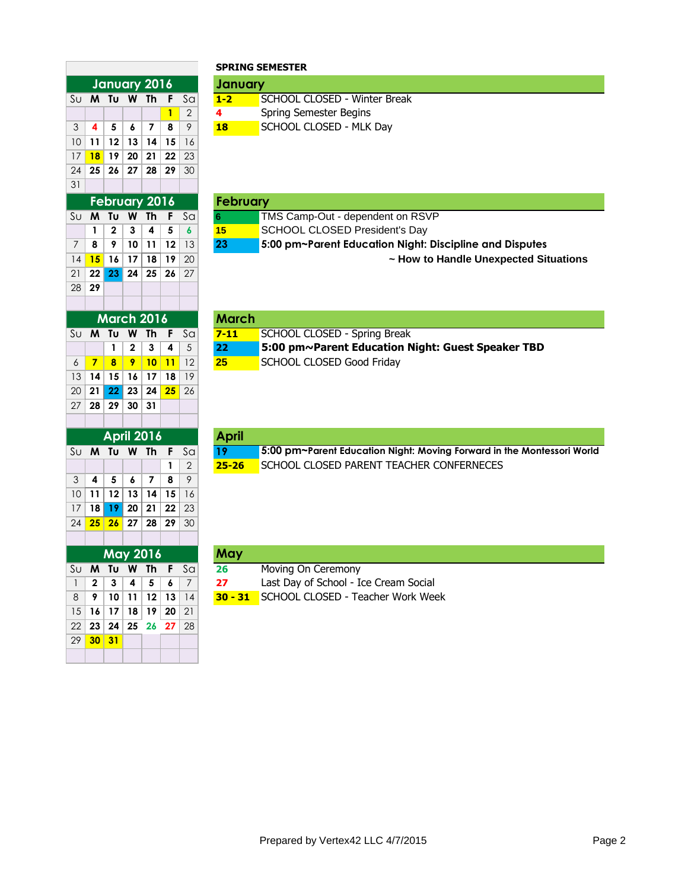|                                   |                         |          |                         |           |          |                | SPRING SI       |                |
|-----------------------------------|-------------------------|----------|-------------------------|-----------|----------|----------------|-----------------|----------------|
|                                   |                         |          | <b>January 2016</b>     |           |          |                | January         |                |
| Sυ                                | M                       | Tυ       | W                       | Th        | F        | Sa             | $1 - 2$         | c              |
|                                   |                         |          |                         |           | 1        | $\overline{2}$ | 4               | S              |
| 3                                 | 4                       | 5        | 6                       | 7         | 8        | 9              | 18              | S              |
| 10                                | 11                      | 12       | 13                      | 14        | 15       | 16             |                 |                |
| 17                                | 18                      | 19       | 20                      | 21        | 22       | 23             |                 |                |
| 24                                | 25                      | 26       | 27                      | 28        | 29       | 30             |                 |                |
| 31                                |                         |          |                         |           |          |                |                 |                |
|                                   |                         |          | <b>February 2016</b>    |           |          |                | February        |                |
| Sυ                                | M                       | Tυ       | W                       | Th        | F        | Sa             | 6               |                |
|                                   | 1                       | 2        | 3                       | 4         | 5        | 6              | 15              | Ś              |
| 7                                 | 8                       | 9        | 10                      | 11        | 12       | 13             | 23              | $\ddot{\cdot}$ |
| 14                                | 15                      | 16       | 17                      | 18        | 19       | 20             |                 |                |
| 21                                | 22                      | 23       | 24                      | 25        | 26       | 27             |                 |                |
| 28                                | 29                      |          |                         |           |          |                |                 |                |
|                                   |                         |          |                         |           |          |                |                 |                |
|                                   |                         |          | <b>March 2016</b>       |           |          |                | <b>March</b>    |                |
| $\overline{\mathsf{S}}\mathsf{U}$ | $\overline{\mathsf{M}}$ | Tυ       | $\overline{\mathsf{W}}$ | <b>Th</b> | F        | $\overline{a}$ | $7 - 11$        | Ξ              |
|                                   |                         | 1        | 2                       | 3         | 4        | 5              | 22              | Ľ              |
| 6                                 | 7                       | 8        | 9                       | 10        | 11       | 12             | 25              | S              |
| 13                                | 14                      | 15       | 16                      | 17        | 18       | 19             |                 |                |
| 20                                | 21                      | 22       | 23                      | 24        | 25       | 26             |                 |                |
| 27                                | 28                      | 29       | 30                      | 31        |          |                |                 |                |
|                                   |                         |          |                         |           |          |                |                 |                |
|                                   |                         |          | <b>April 2016</b>       |           |          |                | <b>April</b>    |                |
| $\overline{\mathsf{S}}\mathsf{U}$ | W                       | Tυ       | W                       | Th        | F        | Sa             | $\overline{19}$ | Ξ              |
|                                   |                         |          |                         |           | 1        | 2              | $25 - 26$       | S              |
| 3                                 | 4                       | 5        | 6                       | 7         | 8        | 9              |                 |                |
| 10                                | 11                      | 12       | 13                      | 14        | 15       | 16             |                 |                |
| 17                                | 18                      | 19       | 20                      | 21        | 22       | 23             |                 |                |
| 24                                | 25                      | 26       | 27                      | 28        | 29       | 30             |                 |                |
|                                   |                         |          |                         |           |          |                |                 |                |
|                                   |                         |          | May 2016                |           |          |                | May             |                |
| Sυ                                | M                       | Tυ       | W                       | Th        | F        | Sa             | 26              | Ŋ              |
| $\mathbf{1}$<br>8                 | 2<br>9                  | 3        | 4<br>11                 | 5         | 6        | 7              | 27<br>$30 - 31$ | L<br>S         |
| 15                                | 16                      | 10<br>17 | 18                      | 12<br>19  | 13<br>20 | 4<br>21        |                 |                |
|                                   |                         |          |                         | 26        |          |                |                 |                |
| 22<br>29                          | 23<br>30                | 24<br>31 | 25                      |           | 27       | 28             |                 |                |
|                                   |                         |          |                         |           |          |                |                 |                |
|                                   |                         |          |                         |           |          |                |                 |                |

# **SPRING SEMESTER**

|  |  | January 2016              |                           |           | <b>January</b>               |
|--|--|---------------------------|---------------------------|-----------|------------------------------|
|  |  |                           | Su <b>M Tu W Th F</b> Sal | $1 - 2$   | SCHOOL CLOSED - Winter Break |
|  |  |                           |                           |           | Spring Semester Begins       |
|  |  | 3   4   5   6   7   8   9 |                           | <b>18</b> | SCHOOL CLOSED - MLK Day      |

|  |  | February 2016 |                                                                    | February |                                                         |
|--|--|---------------|--------------------------------------------------------------------|----------|---------------------------------------------------------|
|  |  |               | Su $\boldsymbol{\mathsf{M}}$ Tu $\boldsymbol{\mathsf{W}}$ Th F Sal | 6        | TMS Camp-Out - dependent on RSVP                        |
|  |  |               | 1   2   3   4   5   6                                              | 15       | SCHOOL CLOSED President's Day                           |
|  |  |               | $7$   8   9   10   11   12   13                                    | 23       | 5:00 pm~Parent Education Night: Discipline and Disputes |
|  |  |               | 14 <b>15 16 17 18 19</b> 20                                        |          | ~ How to Handle Unexpected Situations                   |

|                 |  | <b>March 2016</b> |                        | <b>March</b>    |                                                                  |
|-----------------|--|-------------------|------------------------|-----------------|------------------------------------------------------------------|
|                 |  |                   | Su $M$ Tu $W$ Th F Sal | $7 - 11$        | SCHOOL CLOSED - Spring Break                                     |
|                 |  |                   | 1   2   3   4   5      | 22 <sub>1</sub> | $\blacksquare$ 5:00 pm~Parent Education Night: Guest Speaker TBD |
| $6 \mid 7 \mid$ |  |                   | <b>8 9 10 11</b> 12    | 25              | SCHOOL CLOSED Good Friday                                        |

|  |  | <b>April 2016</b>                       |  | <b>April</b> |                                                                        |
|--|--|-----------------------------------------|--|--------------|------------------------------------------------------------------------|
|  |  | Su <b>M</b> Tu <b>W</b> Th F Sa $\vert$ |  |              | 5:00 pm~Parent Education Night: Moving Forward in the Montessori World |
|  |  |                                         |  |              | <b>25-26 SCHOOL CLOSED PARENT TEACHER CONFERNECES</b>                  |

|  |  | <b>May 2016</b>         |                                  | May |                                                  |
|--|--|-------------------------|----------------------------------|-----|--------------------------------------------------|
|  |  |                         | Su <b>M</b> Tu <b>W</b> Th F Sa  | 26  | Moving On Ceremony                               |
|  |  | $1$   2   3   4   5   6 |                                  | -27 | Last Day of School - Ice Cream Social            |
|  |  |                         | $8$   9   10   11   12   13   14 |     | <b>30 - 31</b> SCHOOL CLOSED - Teacher Work Week |
|  |  | 15 16 17 18 19 20 21    |                                  |     |                                                  |